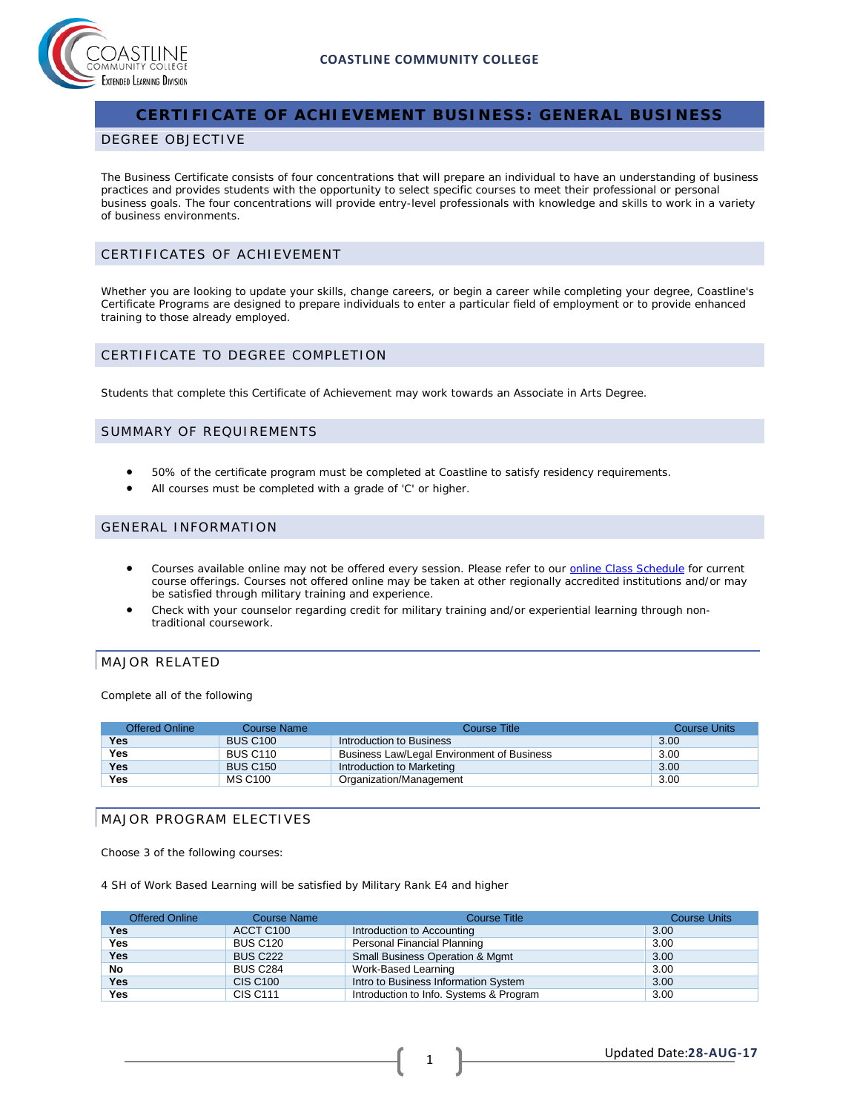

# **CERTIFICATE OF ACHIEVEMENT BUSINESS: GENERAL BUSINESS**

#### DEGREE OBJECTIVE

The Business Certificate consists of four concentrations that will prepare an individual to have an understanding of business practices and provides students with the opportunity to select specific courses to meet their professional or personal business goals. The four concentrations will provide entry-level professionals with knowledge and skills to work in a variety of business environments.

## CERTIFICATES OF ACHIEVEMENT

Whether you are looking to update your skills, change careers, or begin a career while completing your degree, Coastline's Certificate Programs are designed to prepare individuals to enter a particular field of employment or to provide enhanced training to those already employed.

### CERTIFICATE TO DEGREE COMPLETION

Students that complete this Certificate of Achievement may work towards an Associate in Arts Degree.

### SUMMARY OF REQUIREMENTS

- 50% of the certificate program must be completed at Coastline to satisfy residency requirements.
- All courses must be completed with a grade of 'C' or higher.

### GENERAL INFORMATION

- Courses available online may not be offered every session. Please refer to our [online Class Schedule](http://military.coastline.edu/schedule/page.cfm?LinkID=1706) for current course offerings. Courses not offered online may be taken at other regionally accredited institutions and/or may be satisfied through military training and experience.
- Check with your counselor regarding credit for military training and/or experiential learning through nontraditional coursework.

#### MAJOR RELATED

Complete all of the following

| Offered Online | Course Name     | Course Title                               | Course Units |
|----------------|-----------------|--------------------------------------------|--------------|
| Yes            | <b>BUS C100</b> | Introduction to Business                   | 3.00         |
| Yes            | <b>BUS C110</b> | Business Law/Legal Environment of Business | 3.00         |
| <b>Yes</b>     | <b>BUS C150</b> | Introduction to Marketing                  | 3.00         |
| Yes            | MS C100         | Organization/Management                    | 3.00         |

### MAJOR PROGRAM ELECTIVES

Choose 3 of the following courses:

4 SH of Work Based Learning will be satisfied by Military Rank E4 and higher

| <b>Offered Online</b> | <b>Course Name</b> | <b>Course Title</b>                     | <b>Course Units</b> |
|-----------------------|--------------------|-----------------------------------------|---------------------|
| Yes                   | ACCT C100          | Introduction to Accounting              | 3.00                |
| <b>Yes</b>            | <b>BUS C120</b>    | Personal Financial Planning             | 3.00                |
| <b>Yes</b>            | <b>BUS C222</b>    | Small Business Operation & Mgmt         | 3.00                |
| No                    | <b>BUS C284</b>    | Work-Based Learning                     | 3.00                |
| <b>Yes</b>            | <b>CIS C100</b>    | Intro to Business Information System    | 3.00                |
| <b>Yes</b>            | <b>CIS C111</b>    | Introduction to Info. Systems & Program | 3.00                |